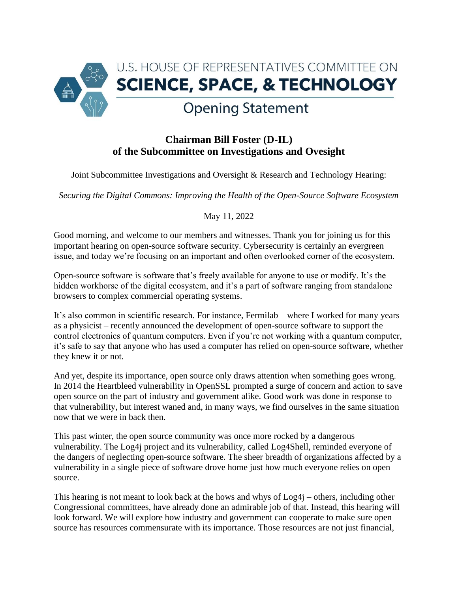

## **Chairman Bill Foster (D-IL) of the Subcommittee on Investigations and Ovesight**

Joint Subcommittee Investigations and Oversight & Research and Technology Hearing:

*Securing the Digital Commons: Improving the Health of the Open-Source Software Ecosystem*

## May 11, 2022

Good morning, and welcome to our members and witnesses. Thank you for joining us for this important hearing on open-source software security. Cybersecurity is certainly an evergreen issue, and today we're focusing on an important and often overlooked corner of the ecosystem.

Open-source software is software that's freely available for anyone to use or modify. It's the hidden workhorse of the digital ecosystem, and it's a part of software ranging from standalone browsers to complex commercial operating systems.

It's also common in scientific research. For instance, Fermilab – where I worked for many years as a physicist – recently announced the development of open-source software to support the control electronics of quantum computers. Even if you're not working with a quantum computer, it's safe to say that anyone who has used a computer has relied on open-source software, whether they knew it or not.

And yet, despite its importance, open source only draws attention when something goes wrong. In 2014 the Heartbleed vulnerability in OpenSSL prompted a surge of concern and action to save open source on the part of industry and government alike. Good work was done in response to that vulnerability, but interest waned and, in many ways, we find ourselves in the same situation now that we were in back then.

This past winter, the open source community was once more rocked by a dangerous vulnerability. The Log4j project and its vulnerability, called Log4Shell, reminded everyone of the dangers of neglecting open-source software. The sheer breadth of organizations affected by a vulnerability in a single piece of software drove home just how much everyone relies on open source.

This hearing is not meant to look back at the hows and whys of Log4j – others, including other Congressional committees, have already done an admirable job of that. Instead, this hearing will look forward. We will explore how industry and government can cooperate to make sure open source has resources commensurate with its importance. Those resources are not just financial,